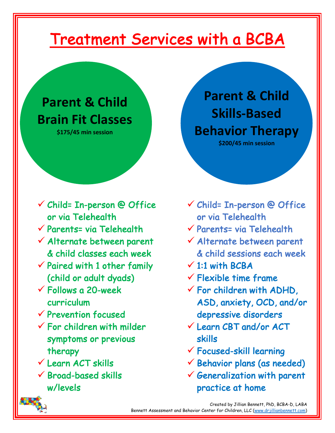# Treatment Services with a BCBA

## **Parent & Child Brain Fit Classes**

**\$175/45 min session**

- $\checkmark$  Child= In-person @ Office or via Telehealth
- $\checkmark$  Parents= via Telehealth
- $\checkmark$  Alternate between parent & child classes each week
- $\checkmark$  Paired with 1 other family (child or adult dyads)
- $\checkmark$  Follows a 20-week curriculum
- $\checkmark$  Prevention focused
- $\checkmark$  For children with milder symptoms or previous therapy
- $V$  Learn ACT skills
- $\checkmark$  Broad-based skills w/levels

**Parent & Child Skills-Based Behavior Therapy \$200/45 min session**

- $\checkmark$  Child= In-person @ Office or via Telehealth
- $\checkmark$  Parents= via Telehealth
- $\checkmark$  Alternate between parent & child sessions each week
- $\times$  1:1 with BCBA
- $\checkmark$  Flexible time frame
- $\checkmark$  For children with ADHD, ASD, anxiety, OCD, and/or depressive disorders
- ü Learn CBT and/or ACT skills
- $\checkmark$  Focused-skill learning
- $\checkmark$  Behavior plans (as needed)
- $\checkmark$  Generalization with parent practice at home

 Created by Jillian Bennett, PhD, BCBA-D, LABA Bennett Assessment and Behavior Center for Children, LLC (www.drjillianbennett.com)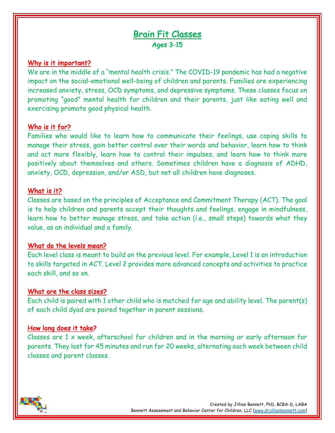### Brain Fit Classes Ages 3-15

#### Why is it important?

We are in the middle of a "mental health crisis." The COVID-19 pandemic has had a negative impact on the social-emotional well-being of children and parents. Families are experiencing increased anxiety, stress, OCD symptoms, and depressive symptoms. These classes focus on promoting "good" mental health for children and their parents, just like eating well and exercising promote good physical health.

#### Who is it for?

Families who would like to learn how to communicate their feelings, use coping skills to manage their stress, gain better control over their words and behavior, learn how to think and act more flexibly, learn how to control their impulses, and learn how to think more positively about themselves and others. Sometimes children have a diagnosis of ADHD, anxiety, OCD, depression, and/or ASD, but not all children have diagnoses.

#### What is it?

Classes are based on the principles of Acceptance and Commitment Therapy (ACT). The goal is to help children and parents accept their thoughts and feelings, engage in mindfulness, learn how to better manage stress, and take action (i.e., small steps) towards what they value, as an individual and a family.

#### What do the levels mean?

Each level class is meant to build on the previous level. For example, Level 1 is an introduction to skills targeted in ACT. Level 2 provides more advanced concepts and activities to practice each skill, and so on.

#### What are the class sizes?

Each child is paired with 1 other child who is matched for age and ability level. The parent(s) of each child dyad are paired together in parent sessions.

#### How long does it take?

Classes are 1 x week, afterschool for children and in the morning or early afternoon for parents. They last for 45 minutes and run for 20 weeks, alternating each week between child classes and parent classes.

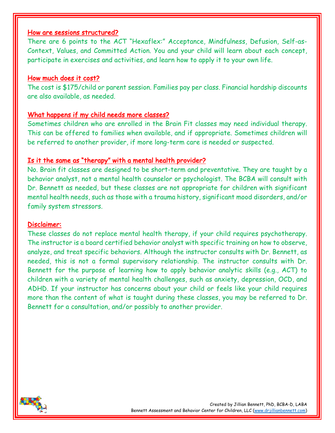#### How are sessions structured?

There are 6 points to the ACT "Hexaflex:" Acceptance, Mindfulness, Defusion, Self-as-Context, Values, and Committed Action. You and your child will learn about each concept, participate in exercises and activities, and learn how to apply it to your own life.

#### How much does it cost?

The cost is \$175/child or parent session. Families pay per class. Financial hardship discounts are also available, as needed.

#### What happens if my child needs more classes?

Sometimes children who are enrolled in the Brain Fit classes may need individual therapy. This can be offered to families when available, and if appropriate. Sometimes children will be referred to another provider, if more long-term care is needed or suspected.

#### Is it the same as "therapy" with a mental health provider?

No. Brain fit classes are designed to be short-term and preventative. They are taught by a behavior analyst, not a mental health counselor or psychologist. The BCBA will consult with Dr. Bennett as needed, but these classes are not appropriate for children with significant mental health needs, such as those with a trauma history, significant mood disorders, and/or family system stressors.

#### Disclaimer:

These classes do not replace mental health therapy, if your child requires psychotherapy. The instructor is a board certified behavior analyst with specific training on how to observe, analyze, and treat specific behaviors. Although the instructor consults with Dr. Bennett, as needed, this is not a formal supervisory relationship. The instructor consults with Dr. Bennett for the purpose of learning how to apply behavior analytic skills (e.g., ACT) to children with a variety of mental health challenges, such as anxiety, depression, OCD, and ADHD. If your instructor has concerns about your child or feels like your child requires more than the content of what is taught during these classes, you may be referred to Dr. Bennett for a consultation, and/or possibly to another provider.

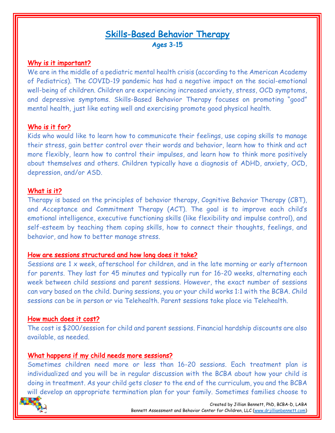## Skills-Based Behavior Therapy Ages 3-15

#### Why is it important?

We are in the middle of a pediatric mental health crisis (according to the American Academy of Pediatrics). The COVID-19 pandemic has had a negative impact on the social-emotional well-being of children. Children are experiencing increased anxiety, stress, OCD symptoms, and depressive symptoms. Skills-Based Behavior Therapy focuses on promoting "good" mental health, just like eating well and exercising promote good physical health.

#### Who is it for?

Kids who would like to learn how to communicate their feelings, use coping skills to manage their stress, gain better control over their words and behavior, learn how to think and act more flexibly, learn how to control their impulses, and learn how to think more positively about themselves and others. Children typically have a diagnosis of ADHD, anxiety, OCD, depression, and/or ASD.

#### What is it?

Therapy is based on the principles of behavior therapy, Cognitive Behavior Therapy (CBT), and Acceptance and Commitment Therapy (ACT). The goal is to improve each child's emotional intelligence, executive functioning skills (like flexibility and impulse control), and self-esteem by teaching them coping skills, how to connect their thoughts, feelings, and behavior, and how to better manage stress.

#### How are sessions structured and how long does it take?

Sessions are 1 x week, afterschool for children, and in the late morning or early afternoon for parents. They last for 45 minutes and typically run for 16-20 weeks, alternating each week between child sessions and parent sessions. However, the exact number of sessions can vary based on the child. During sessions, you or your child works 1:1 with the BCBA. Child sessions can be in person or via Telehealth. Parent sessions take place via Telehealth.

#### How much does it cost?

The cost is \$200/session for child and parent sessions. Financial hardship discounts are also available, as needed.

#### What happens if my child needs more sessions?

Sometimes children need more or less than 16-20 sessions. Each treatment plan is individualized and you will be in regular discussion with the BCBA about how your child is doing in treatment. As your child gets closer to the end of the curriculum, you and the BCBA will develop an appropriate termination plan for your family. Sometimes families choose to

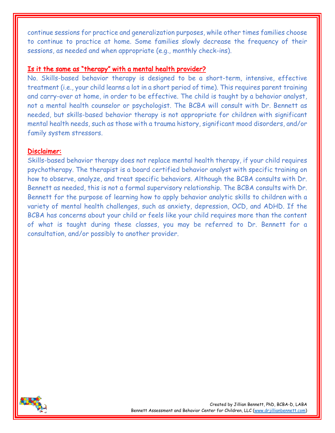continue sessions for practice and generalization purposes, while other times families choose to continue to practice at home. Some families slowly decrease the frequency of their sessions, as needed and when appropriate (e.g., monthly check-ins).

#### Is it the same as "therapy" with a mental health provider?

No. Skills-based behavior therapy is designed to be a short-term, intensive, effective treatment (i.e., your child learns a lot in a short period of time). This requires parent training and carry-over at home, in order to be effective. The child is taught by a behavior analyst, not a mental health counselor or psychologist. The BCBA will consult with Dr. Bennett as needed, but skills-based behavior therapy is not appropriate for children with significant mental health needs, such as those with a trauma history, significant mood disorders, and/or family system stressors.

#### Disclaimer:

Skills-based behavior therapy does not replace mental health therapy, if your child requires psychotherapy. The therapist is a board certified behavior analyst with specific training on how to observe, analyze, and treat specific behaviors. Although the BCBA consults with Dr. Bennett as needed, this is not a formal supervisory relationship. The BCBA consults with Dr. Bennett for the purpose of learning how to apply behavior analytic skills to children with a variety of mental health challenges, such as anxiety, depression, OCD, and ADHD. If the BCBA has concerns about your child or feels like your child requires more than the content of what is taught during these classes, you may be referred to Dr. Bennett for a consultation, and/or possibly to another provider.

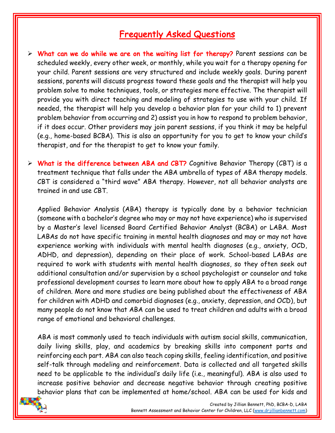## Frequently Asked Questions

- $\triangleright$  What can we do while we are on the waiting list for therapy? Parent sessions can be scheduled weekly, every other week, or monthly, while you wait for a therapy opening for your child. Parent sessions are very structured and include weekly goals. During parent sessions, parents will discuss progress toward these goals and the therapist will help you problem solve to make techniques, tools, or strategies more effective. The therapist will provide you with direct teaching and modeling of strategies to use with your child. If needed, the therapist will help you develop a behavior plan for your child to 1) prevent problem behavior from occurring and 2) assist you in how to respond to problem behavior, if it does occur. Other providers may join parent sessions, if you think it may be helpful (e.g., home-based BCBA). This is also an opportunity for you to get to know your child's therapist, and for the therapist to get to know your family.
- $\triangleright$  What is the difference between ABA and CBT? Cognitive Behavior Therapy (CBT) is a treatment technique that falls under the ABA umbrella of types of ABA therapy models. CBT is considered a "third wave" ABA therapy. However, not all behavior analysts are trained in and use CBT.

Applied Behavior Analysis (ABA) therapy is typically done by a behavior technician (someone with a bachelor's degree who may or may not have experience) who is supervised by a Master's level licensed Board Certified Behavior Analyst (BCBA) or LABA. Most LABAs do not have specific training in mental health diagnoses and may or may not have experience working with individuals with mental health diagnoses (e.g., anxiety, OCD, ADHD, and depression), depending on their place of work. School-based LABAs are required to work with students with mental health diagnoses, so they often seek out additional consultation and/or supervision by a school psychologist or counselor and take professional development courses to learn more about how to apply ABA to a broad range of children. More and more studies are being published about the effectiveness of ABA for children with ADHD and comorbid diagnoses (e.g., anxiety, depression, and OCD), but many people do not know that ABA can be used to treat children and adults with a broad range of emotional and behavioral challenges.

ABA is most commonly used to teach individuals with autism social skills, communication, daily living skills, play, and academics by breaking skills into component parts and reinforcing each part. ABA can also teach coping skills, feeling identification, and positive self-talk through modeling and reinforcement. Data is collected and all targeted skills need to be applicable to the individual's daily life (i.e., meaningful). ABA is also used to increase positive behavior and decrease negative behavior through creating positive behavior plans that can be implemented at home/school. ABA can be used for kids and

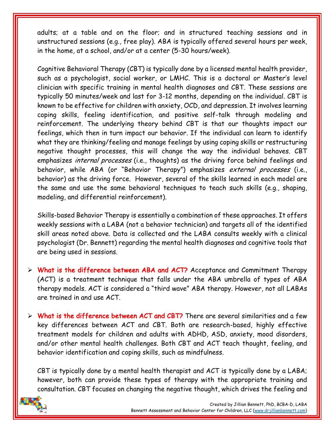adults; at a table and on the floor; and in structured teaching sessions and in unstructured sessions (e.g., free play). ABA is typically offered several hours per week, in the home, at a school, and/or at a center (5-30 hours/week).

Cognitive Behavioral Therapy (CBT) is typically done by a licensed mental health provider, such as a psychologist, social worker, or LMHC. This is a doctoral or Master's level clinician with specific training in mental health diagnoses and CBT. These sessions are typically 50 minutes/week and last for 3-12 months, depending on the individual. CBT is known to be effective for children with anxiety, OCD, and depression. It involves learning coping skills, feeling identification, and positive self-talk through modeling and reinforcement. The underlying theory behind CBT is that our thoughts impact our feelings, which then in turn impact our behavior. If the individual can learn to identify what they are thinking/feeling and manage feelings by using coping skills or restructuring negative thought processes, this will change the way the individual behaves. CBT emphasizes *internal processes* (i.e., thoughts) as the driving force behind feelings and behavior, while ABA (or "Behavior Therapy") emphasizes external processes (i.e., behavior) as the driving force. However, several of the skills learned in each model are the same and use the same behavioral techniques to teach such skills (e.g., shaping, modeling, and differential reinforcement).

Skills-based Behavior Therapy is essentially a combination of these approaches. It offers weekly sessions with a LABA (not a behavior technician) and targets all of the identified skill areas noted above. Data is collected and the LABA consults weekly with a clinical psychologist (Dr. Bennett) regarding the mental health diagnoses and cognitive tools that are being used in sessions.

- $\triangleright$  What is the difference between ABA and ACT? Acceptance and Commitment Therapy (ACT) is a treatment technique that falls under the ABA umbrella of types of ABA therapy models. ACT is considered a "third wave" ABA therapy. However, not all LABAs are trained in and use ACT.
- $\triangleright$  What is the difference between ACT and CBT? There are several similarities and a few key differences between ACT and CBT. Both are research-based, highly effective treatment models for children and adults with ADHD, ASD, anxiety, mood disorders, and/or other mental health challenges. Both CBT and ACT teach thought, feeling, and behavior identification and coping skills, such as mindfulness.

CBT is typically done by a mental health therapist and ACT is typically done by a LABA; however, both can provide these types of therapy with the appropriate training and consultation. CBT focuses on changing the negative thought, which drives the feeling and

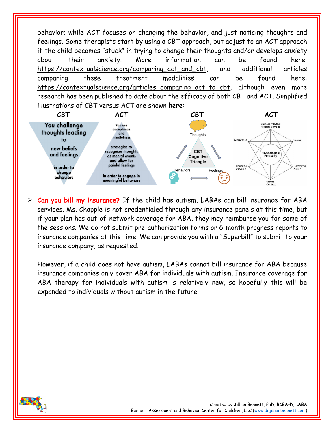behavior; while ACT focuses on changing the behavior, and just noticing thoughts and feelings. Some therapists start by using a CBT approach, but adjust to an ACT approach if the child becomes "stuck" in trying to change their thoughts and/or develops anxiety about their anxiety. More information can be found here: https://contextualscience.org/comparing\_act\_and\_cbt, and additional articles comparing these treatment modalities can be found here: https://contextualscience.org/articles\_comparing\_act\_to\_cbt, although even more research has been published to date about the efficacy of both CBT and ACT. Simplified illustrations of CBT versus ACT are shown here:



 $\triangleright$  Can you bill my insurance? If the child has autism, LABAs can bill insurance for ABA services. Ms. Chapple is not credentialed through any insurance panels at this time, but if your plan has out-of-network coverage for ABA, they may reimburse you for some of the sessions. We do not submit pre-authorization forms or 6-month progress reports to insurance companies at this time. We can provide you with a "Superbill" to submit to your insurance company, as requested.

However, if a child does not have autism, LABAs cannot bill insurance for ABA because insurance companies only cover ABA for individuals with autism. Insurance coverage for ABA therapy for individuals with autism is relatively new, so hopefully this will be expanded to individuals without autism in the future.